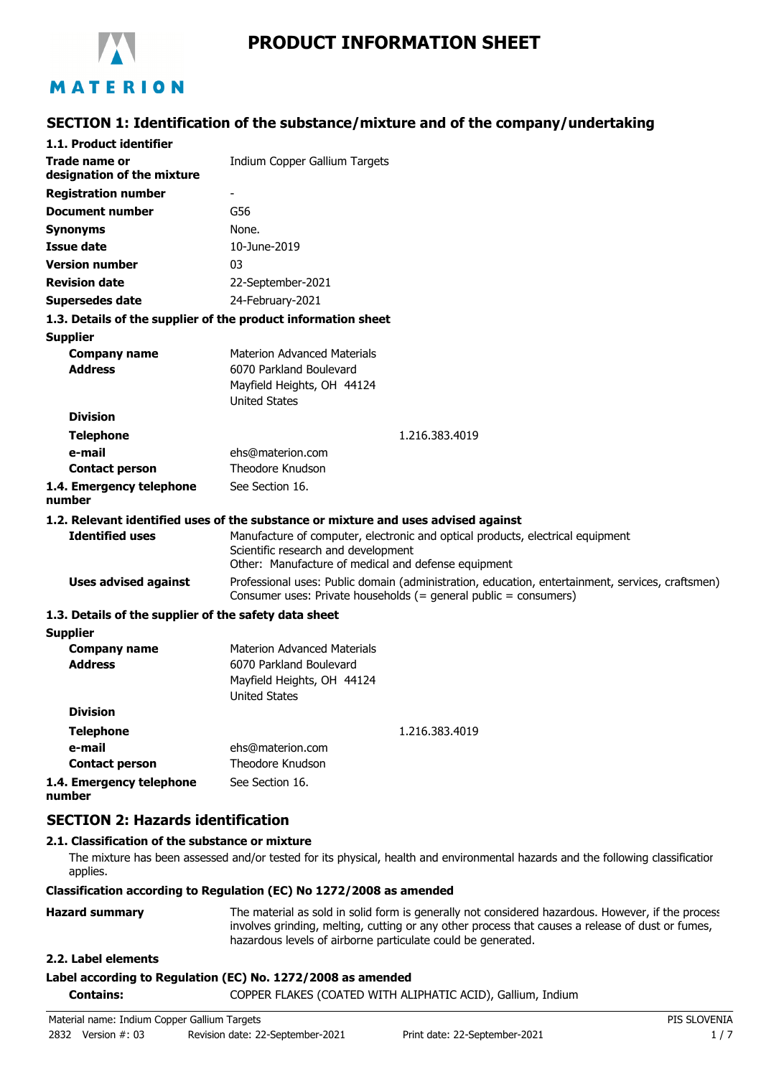

# **PRODUCT INFORMATION SHEET**

# MATERION

# **SECTION 1: Identification of the substance/mixture and of the company/undertaking**

| 1.1. Product identifier                               |                                                                                                                                                                              |
|-------------------------------------------------------|------------------------------------------------------------------------------------------------------------------------------------------------------------------------------|
| <b>Trade name or</b><br>designation of the mixture    | Indium Copper Gallium Targets                                                                                                                                                |
| <b>Registration number</b>                            |                                                                                                                                                                              |
| <b>Document number</b>                                | G56                                                                                                                                                                          |
| Synonyms                                              | None.                                                                                                                                                                        |
| <b>Issue date</b>                                     | 10-June-2019                                                                                                                                                                 |
| <b>Version number</b>                                 | 03                                                                                                                                                                           |
| <b>Revision date</b>                                  | 22-September-2021                                                                                                                                                            |
| Supersedes date                                       | 24-February-2021                                                                                                                                                             |
|                                                       | 1.3. Details of the supplier of the product information sheet                                                                                                                |
| <b>Supplier</b>                                       |                                                                                                                                                                              |
| <b>Company name</b>                                   | <b>Materion Advanced Materials</b>                                                                                                                                           |
| <b>Address</b>                                        | 6070 Parkland Boulevard                                                                                                                                                      |
|                                                       | Mayfield Heights, OH 44124                                                                                                                                                   |
|                                                       | <b>United States</b>                                                                                                                                                         |
| <b>Division</b>                                       |                                                                                                                                                                              |
| <b>Telephone</b>                                      | 1.216.383.4019                                                                                                                                                               |
| e-mail                                                | ehs@materion.com<br>Theodore Knudson                                                                                                                                         |
| <b>Contact person</b>                                 |                                                                                                                                                                              |
| 1.4. Emergency telephone<br>number                    | See Section 16.                                                                                                                                                              |
|                                                       | 1.2. Relevant identified uses of the substance or mixture and uses advised against                                                                                           |
| <b>Identified uses</b>                                | Manufacture of computer, electronic and optical products, electrical equipment<br>Scientific research and development<br>Other: Manufacture of medical and defense equipment |
| <b>Uses advised against</b>                           | Professional uses: Public domain (administration, education, entertainment, services, craftsmen)<br>Consumer uses: Private households (= general public = consumers)         |
| 1.3. Details of the supplier of the safety data sheet |                                                                                                                                                                              |
| <b>Supplier</b>                                       |                                                                                                                                                                              |
| <b>Company name</b>                                   | <b>Materion Advanced Materials</b>                                                                                                                                           |
| <b>Address</b>                                        | 6070 Parkland Boulevard                                                                                                                                                      |
|                                                       | Mayfield Heights, OH 44124                                                                                                                                                   |
| <b>Division</b>                                       | <b>United States</b>                                                                                                                                                         |
| <b>Telephone</b>                                      | 1.216.383.4019                                                                                                                                                               |
| e-mail                                                | ehs@materion.com                                                                                                                                                             |
| <b>Contact person</b>                                 | Theodore Knudson                                                                                                                                                             |
|                                                       |                                                                                                                                                                              |

**1.4. Emergency telephone number** See Section 16.

# **SECTION 2: Hazards identification**

### **2.1. Classification of the substance or mixture**

The mixture has been assessed and/or tested for its physical, health and environmental hazards and the following classification applies.

#### **Classification according to Regulation (EC) No 1272/2008 as amended**

| <b>Hazard summary</b> | The material as sold in solid form is generally not considered hazardous. However, if the process |
|-----------------------|---------------------------------------------------------------------------------------------------|
|                       | involves grinding, melting, cutting or any other process that causes a release of dust or fumes,  |
|                       | hazardous levels of airborne particulate could be generated.                                      |

### **2.2. Label elements**

#### **Label according to Regulation (EC) No. 1272/2008 as amended**

**Contains:** COPPER FLAKES (COATED WITH ALIPHATIC ACID), Gallium, Indium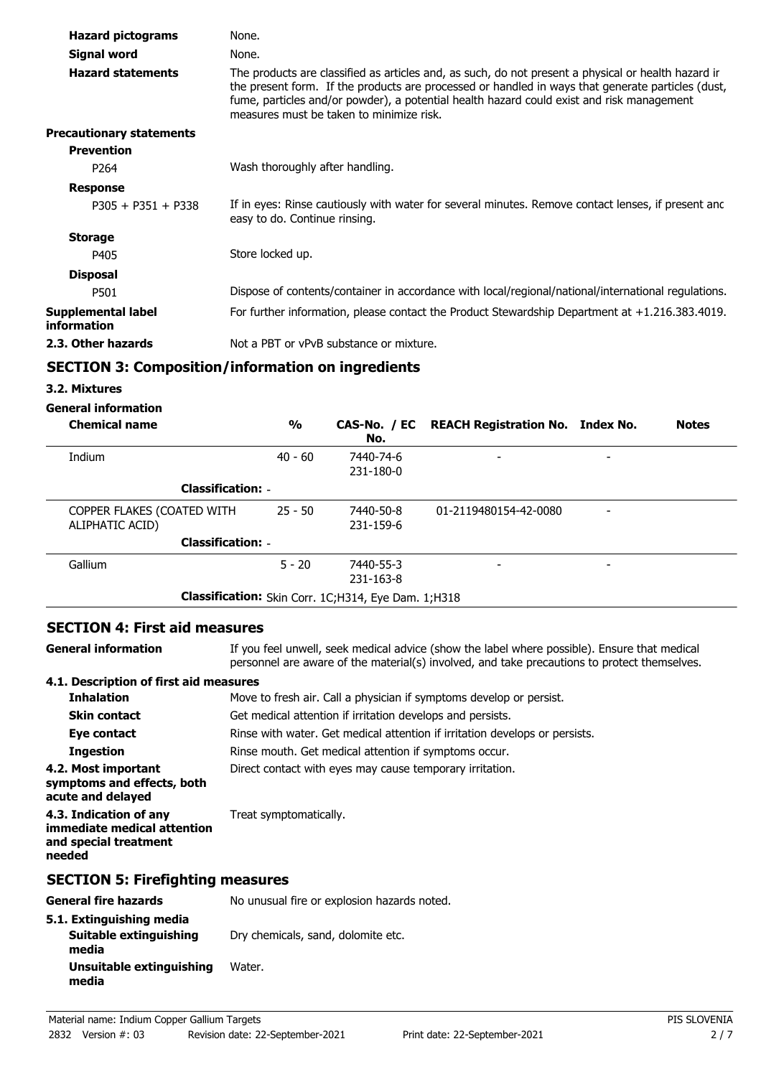| <b>Hazard pictograms</b>          | None.                                                                                                                                                                                                                                                                                                                                             |
|-----------------------------------|---------------------------------------------------------------------------------------------------------------------------------------------------------------------------------------------------------------------------------------------------------------------------------------------------------------------------------------------------|
| Signal word                       | None.                                                                                                                                                                                                                                                                                                                                             |
| <b>Hazard statements</b>          | The products are classified as articles and, as such, do not present a physical or health hazard ir<br>the present form. If the products are processed or handled in ways that generate particles (dust,<br>fume, particles and/or powder), a potential health hazard could exist and risk management<br>measures must be taken to minimize risk. |
| <b>Precautionary statements</b>   |                                                                                                                                                                                                                                                                                                                                                   |
| <b>Prevention</b>                 |                                                                                                                                                                                                                                                                                                                                                   |
| P <sub>264</sub>                  | Wash thoroughly after handling.                                                                                                                                                                                                                                                                                                                   |
| <b>Response</b>                   |                                                                                                                                                                                                                                                                                                                                                   |
| $P305 + P351 + P338$              | If in eyes: Rinse cautiously with water for several minutes. Remove contact lenses, if present and<br>easy to do. Continue rinsing.                                                                                                                                                                                                               |
| <b>Storage</b>                    |                                                                                                                                                                                                                                                                                                                                                   |
| P405                              | Store locked up.                                                                                                                                                                                                                                                                                                                                  |
| <b>Disposal</b>                   |                                                                                                                                                                                                                                                                                                                                                   |
| P501                              | Dispose of contents/container in accordance with local/regional/national/international regulations.                                                                                                                                                                                                                                               |
| Supplemental label<br>information | For further information, please contact the Product Stewardship Department at +1.216.383.4019.                                                                                                                                                                                                                                                    |
| 2.3. Other hazards                | Not a PBT or vPvB substance or mixture.                                                                                                                                                                                                                                                                                                           |

## **SECTION 3: Composition/information on ingredients**

#### **3.2. Mixtures**

## **General information**

| <b>Chemical name</b>                          | $\frac{1}{2}$ | No.                                                 | CAS-No. / EC REACH Registration No. Index No. |   | <b>Notes</b> |
|-----------------------------------------------|---------------|-----------------------------------------------------|-----------------------------------------------|---|--------------|
| Indium                                        | $40 - 60$     | 7440-74-6                                           | -                                             | - |              |
| <b>Classification: -</b>                      |               | 231-180-0                                           |                                               |   |              |
| COPPER FLAKES (COATED WITH<br>ALIPHATIC ACID) | $25 - 50$     | 7440-50-8<br>231-159-6                              | 01-2119480154-42-0080                         |   |              |
| <b>Classification: -</b>                      |               |                                                     |                                               |   |              |
| Gallium                                       | $5 - 20$      | 7440-55-3<br>231-163-8                              |                                               |   |              |
|                                               |               | Classification: Skin Corr. 1C;H314, Eye Dam. 1;H318 |                                               |   |              |

## **SECTION 4: First aid measures**

**General information**

**media**

If you feel unwell, seek medical advice (show the label where possible). Ensure that medical personnel are aware of the material(s) involved, and take precautions to protect themselves.

### **4.1. Description of first aid measures**

| <b>Inhalation</b>                                                                        | Move to fresh air. Call a physician if symptoms develop or persist.         |  |  |
|------------------------------------------------------------------------------------------|-----------------------------------------------------------------------------|--|--|
| <b>Skin contact</b>                                                                      | Get medical attention if irritation develops and persists.                  |  |  |
| Eye contact                                                                              | Rinse with water. Get medical attention if irritation develops or persists. |  |  |
| <b>Ingestion</b>                                                                         | Rinse mouth. Get medical attention if symptoms occur.                       |  |  |
| 4.2. Most important<br>symptoms and effects, both<br>acute and delayed                   | Direct contact with eyes may cause temporary irritation.                    |  |  |
| 4.3. Indication of any<br>immediate medical attention<br>and special treatment<br>needed | Treat symptomatically.                                                      |  |  |
| <b>SECTION 5: Firefighting measures</b>                                                  |                                                                             |  |  |
| <b>General fire hazards</b>                                                              | No unusual fire or explosion hazards noted.                                 |  |  |
| 5.1. Extinguishing media                                                                 |                                                                             |  |  |
| Suitable extinguishing<br>media                                                          | Dry chemicals, sand, dolomite etc.                                          |  |  |
| Unsuitable extinguishing                                                                 | Water.                                                                      |  |  |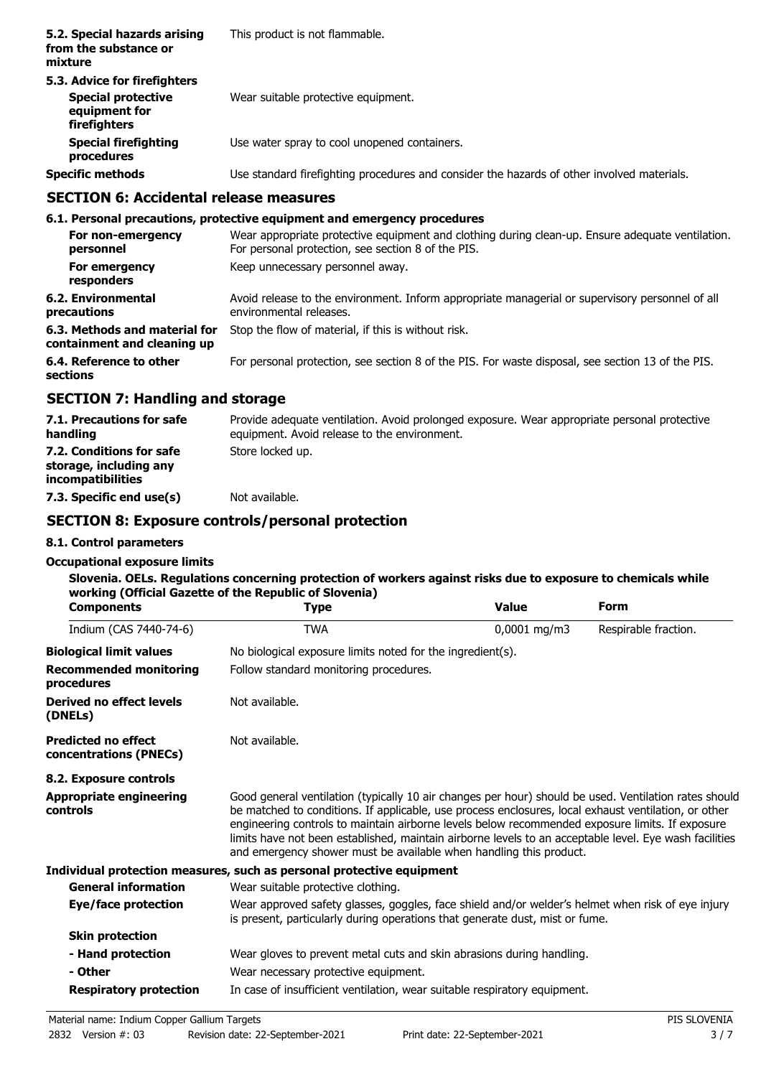| 5.2. Special hazards arising<br>from the substance or<br>mixture                           | This product is not flammable.                                                             |
|--------------------------------------------------------------------------------------------|--------------------------------------------------------------------------------------------|
| 5.3. Advice for firefighters<br><b>Special protective</b><br>equipment for<br>firefighters | Wear suitable protective equipment.                                                        |
| <b>Special firefighting</b><br>procedures                                                  | Use water spray to cool unopened containers.                                               |
| <b>Specific methods</b>                                                                    | Use standard firefighting procedures and consider the hazards of other involved materials. |

## **SECTION 6: Accidental release measures**

## **6.1. Personal precautions, protective equipment and emergency procedures**

| For non-emergency<br>personnel                               | Wear appropriate protective equipment and clothing during clean-up. Ensure adequate ventilation.<br>For personal protection, see section 8 of the PIS. |
|--------------------------------------------------------------|--------------------------------------------------------------------------------------------------------------------------------------------------------|
| For emergency<br>responders                                  | Keep unnecessary personnel away.                                                                                                                       |
| 6.2. Environmental<br>precautions                            | Avoid release to the environment. Inform appropriate managerial or supervisory personnel of all<br>environmental releases.                             |
| 6.3. Methods and material for<br>containment and cleaning up | Stop the flow of material, if this is without risk.                                                                                                    |
| 6.4. Reference to other<br>sections                          | For personal protection, see section 8 of the PIS. For waste disposal, see section 13 of the PIS.                                                      |
|                                                              |                                                                                                                                                        |

## **SECTION 7: Handling and storage**

| 7.1. Precautions for safe<br>handling                                   | Provide adequate ventilation. Avoid prolonged exposure. Wear appropriate personal protective<br>equipment. Avoid release to the environment. |
|-------------------------------------------------------------------------|----------------------------------------------------------------------------------------------------------------------------------------------|
| 7.2. Conditions for safe<br>storage, including any<br>incompatibilities | Store locked up.                                                                                                                             |
| 7.3. Specific end use(s)                                                | Not available.                                                                                                                               |

## **SECTION 8: Exposure controls/personal protection**

## **8.1. Control parameters**

#### **Occupational exposure limits**

### **Slovenia. OELs. Regulations concerning protection of workers against risks due to exposure to chemicals while working (Official Gazette of the Republic of Slovenia)**

| <b>Components</b>                                    | <b>Type</b>                                                                                                                                                                                                                                                                                                                                                                                                                                                                                      | <b>Value</b>   | <b>Form</b>          |
|------------------------------------------------------|--------------------------------------------------------------------------------------------------------------------------------------------------------------------------------------------------------------------------------------------------------------------------------------------------------------------------------------------------------------------------------------------------------------------------------------------------------------------------------------------------|----------------|----------------------|
| Indium (CAS 7440-74-6)                               | <b>TWA</b>                                                                                                                                                                                                                                                                                                                                                                                                                                                                                       | $0,0001$ mg/m3 | Respirable fraction. |
| <b>Biological limit values</b>                       | No biological exposure limits noted for the ingredient(s).                                                                                                                                                                                                                                                                                                                                                                                                                                       |                |                      |
| <b>Recommended monitoring</b><br>procedures          | Follow standard monitoring procedures.                                                                                                                                                                                                                                                                                                                                                                                                                                                           |                |                      |
| Derived no effect levels<br>(DNELs)                  | Not available.                                                                                                                                                                                                                                                                                                                                                                                                                                                                                   |                |                      |
| <b>Predicted no effect</b><br>concentrations (PNECs) | Not available.                                                                                                                                                                                                                                                                                                                                                                                                                                                                                   |                |                      |
| 8.2. Exposure controls                               |                                                                                                                                                                                                                                                                                                                                                                                                                                                                                                  |                |                      |
| <b>Appropriate engineering</b><br>controls           | Good general ventilation (typically 10 air changes per hour) should be used. Ventilation rates should<br>be matched to conditions. If applicable, use process enclosures, local exhaust ventilation, or other<br>engineering controls to maintain airborne levels below recommended exposure limits. If exposure<br>limits have not been established, maintain airborne levels to an acceptable level. Eye wash facilities<br>and emergency shower must be available when handling this product. |                |                      |
|                                                      | Individual protection measures, such as personal protective equipment                                                                                                                                                                                                                                                                                                                                                                                                                            |                |                      |
| <b>General information</b>                           | Wear suitable protective clothing.                                                                                                                                                                                                                                                                                                                                                                                                                                                               |                |                      |
| Eye/face protection                                  | Wear approved safety glasses, goggles, face shield and/or welder's helmet when risk of eye injury<br>is present, particularly during operations that generate dust, mist or fume.                                                                                                                                                                                                                                                                                                                |                |                      |
| <b>Skin protection</b>                               |                                                                                                                                                                                                                                                                                                                                                                                                                                                                                                  |                |                      |
| - Hand protection                                    | Wear gloves to prevent metal cuts and skin abrasions during handling.                                                                                                                                                                                                                                                                                                                                                                                                                            |                |                      |
| - Other                                              | Wear necessary protective equipment.                                                                                                                                                                                                                                                                                                                                                                                                                                                             |                |                      |
| <b>Respiratory protection</b>                        | In case of insufficient ventilation, wear suitable respiratory equipment.                                                                                                                                                                                                                                                                                                                                                                                                                        |                |                      |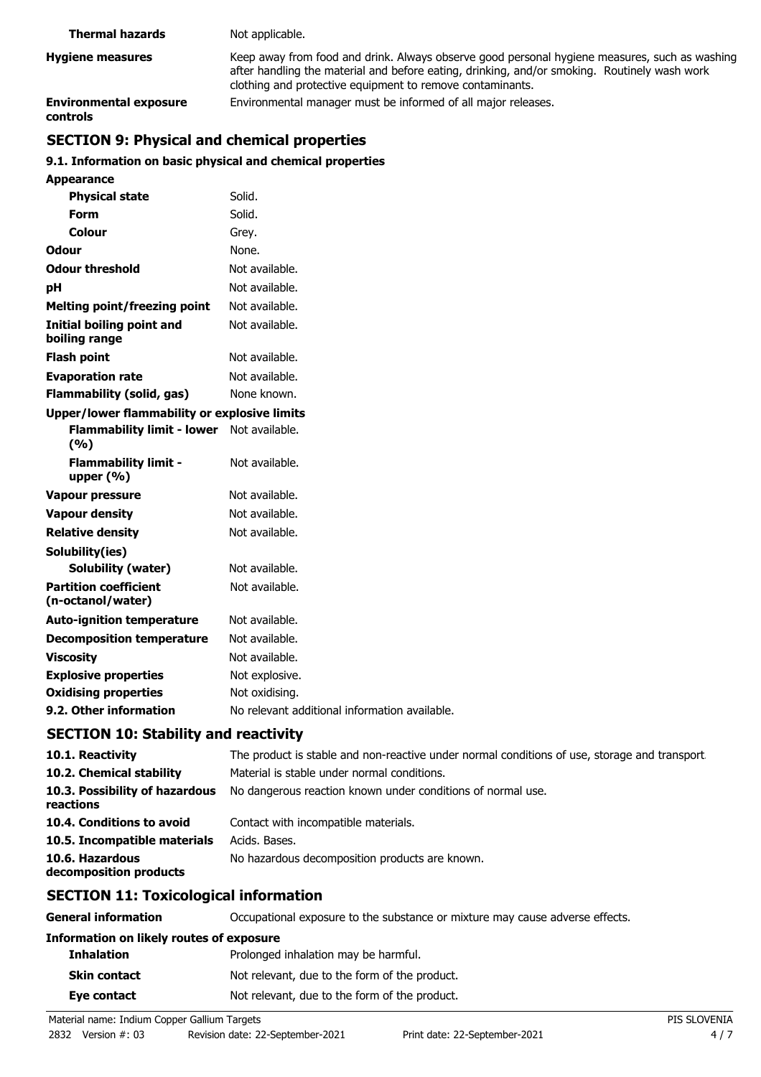| <b>Thermal hazards</b>                    | Not applicable.                                                                                                                                                                                                                                            |
|-------------------------------------------|------------------------------------------------------------------------------------------------------------------------------------------------------------------------------------------------------------------------------------------------------------|
| <b>Hygiene measures</b>                   | Keep away from food and drink. Always observe good personal hygiene measures, such as washing<br>after handling the material and before eating, drinking, and/or smoking. Routinely wash work<br>clothing and protective equipment to remove contaminants. |
| <b>Environmental exposure</b><br>controls | Environmental manager must be informed of all major releases.                                                                                                                                                                                              |

# **SECTION 9: Physical and chemical properties**

**Appearance**

## **9.1. Information on basic physical and chemical properties**

| <b>Physical state</b>                               | Solid.                                        |
|-----------------------------------------------------|-----------------------------------------------|
| Form                                                | Solid.                                        |
| Colour                                              | Grey.                                         |
| <b>Odour</b>                                        | None.                                         |
| <b>Odour threshold</b>                              | Not available.                                |
| рH                                                  | Not available.                                |
| Melting point/freezing point                        | Not available.                                |
| <b>Initial boiling point and</b><br>boiling range   | Not available.                                |
| <b>Flash point</b>                                  | Not available.                                |
| <b>Evaporation rate</b>                             | Not available.                                |
| <b>Flammability (solid, gas)</b>                    | None known.                                   |
| <b>Upper/lower flammability or explosive limits</b> |                                               |
| Flammability limit - lower Not available.<br>(9/6)  |                                               |
| <b>Flammability limit -</b><br>upper $(% )$         | Not available.                                |
| <b>Vapour pressure</b>                              | Not available.                                |
| <b>Vapour density</b>                               | Not available.                                |
| <b>Relative density</b>                             | Not available.                                |
| Solubility(ies)                                     |                                               |
| <b>Solubility (water)</b>                           | Not available.                                |
| <b>Partition coefficient</b><br>(n-octanol/water)   | Not available.                                |
| <b>Auto-ignition temperature</b>                    | Not available.                                |
| <b>Decomposition temperature</b>                    | Not available.                                |
| <b>Viscosity</b>                                    | Not available.                                |
| <b>Explosive properties</b>                         | Not explosive.                                |
| <b>Oxidising properties</b>                         | Not oxidising.                                |
| 9.2. Other information                              | No relevant additional information available. |

## **SECTION 10: Stability and reactivity**

| 10.1. Reactivity                            | The product is stable and non-reactive under normal conditions of use, storage and transport |
|---------------------------------------------|----------------------------------------------------------------------------------------------|
| 10.2. Chemical stability                    | Material is stable under normal conditions.                                                  |
| 10.3. Possibility of hazardous<br>reactions | No dangerous reaction known under conditions of normal use.                                  |
| 10.4. Conditions to avoid                   | Contact with incompatible materials.                                                         |
| 10.5. Incompatible materials                | Acids. Bases.                                                                                |
| 10.6. Hazardous<br>decomposition products   | No hazardous decomposition products are known.                                               |

# **SECTION 11: Toxicological information**

**General information CCCUPATION** Occupational exposure to the substance or mixture may cause adverse effects. **Information on likely routes of exposure Inhalation** Prolonged inhalation may be harmful. **Skin contact** Not relevant, due to the form of the product. **Eye contact** Not relevant, due to the form of the product.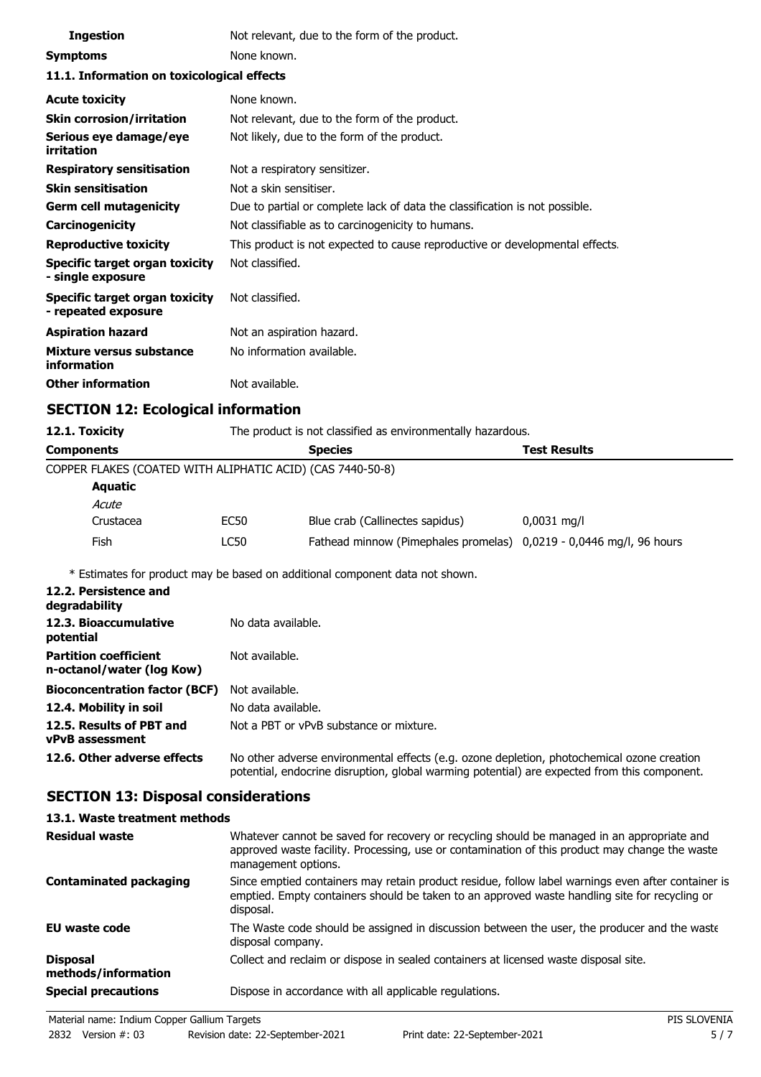| <b>Ingestion</b>                                      | Not relevant, due to the form of the product.                                |                     |
|-------------------------------------------------------|------------------------------------------------------------------------------|---------------------|
| <b>Symptoms</b>                                       | None known.                                                                  |                     |
| 11.1. Information on toxicological effects            |                                                                              |                     |
| <b>Acute toxicity</b>                                 | None known.                                                                  |                     |
| <b>Skin corrosion/irritation</b>                      | Not relevant, due to the form of the product.                                |                     |
| Serious eye damage/eye<br>irritation                  | Not likely, due to the form of the product.                                  |                     |
| <b>Respiratory sensitisation</b>                      | Not a respiratory sensitizer.                                                |                     |
| <b>Skin sensitisation</b>                             | Not a skin sensitiser.                                                       |                     |
| <b>Germ cell mutagenicity</b>                         | Due to partial or complete lack of data the classification is not possible.  |                     |
| Carcinogenicity                                       | Not classifiable as to carcinogenicity to humans.                            |                     |
| <b>Reproductive toxicity</b>                          | This product is not expected to cause reproductive or developmental effects. |                     |
| Specific target organ toxicity<br>- single exposure   | Not classified.                                                              |                     |
| Specific target organ toxicity<br>- repeated exposure | Not classified.                                                              |                     |
| <b>Aspiration hazard</b>                              | Not an aspiration hazard.                                                    |                     |
| Mixture versus substance<br>information               | No information available.                                                    |                     |
| <b>Other information</b>                              | Not available.                                                               |                     |
| <b>SECTION 12: Ecological information</b>             |                                                                              |                     |
| 12.1. Toxicity                                        | The product is not classified as environmentally hazardous.                  |                     |
| <b>Components</b>                                     | <b>Species</b>                                                               | <b>Test Results</b> |

COPPER FLAKES (COATED WITH ALIPHATIC ACID) (CAS 7440-50-8)

| ן ט־טכ־טדדי (כתבאר הווידות הבנה הווידות הבנה האסטן כבאורם)          |               |  |  |
|---------------------------------------------------------------------|---------------|--|--|
|                                                                     |               |  |  |
|                                                                     |               |  |  |
| Blue crab (Callinectes sapidus)                                     | $0,0031$ mg/l |  |  |
| Fathead minnow (Pimephales promelas) 0,0219 - 0,0446 mg/l, 96 hours |               |  |  |
|                                                                     |               |  |  |

\* Estimates for product may be based on additional component data not shown.

| 12.2. Persistence and<br>degradability                    |                                                                                                                                                                                            |
|-----------------------------------------------------------|--------------------------------------------------------------------------------------------------------------------------------------------------------------------------------------------|
| 12.3. Bioaccumulative<br>potential                        | No data available.                                                                                                                                                                         |
| <b>Partition coefficient</b><br>n-octanol/water (log Kow) | Not available.                                                                                                                                                                             |
| <b>Bioconcentration factor (BCF)</b>                      | Not available.                                                                                                                                                                             |
| 12.4. Mobility in soil                                    | No data available.                                                                                                                                                                         |
| 12.5. Results of PBT and<br><b>vPvB</b> assessment        | Not a PBT or vPvB substance or mixture.                                                                                                                                                    |
| 12.6. Other adverse effects                               | No other adverse environmental effects (e.g. ozone depletion, photochemical ozone creation<br>potential, endocrine disruption, global warming potential) are expected from this component. |

# **SECTION 13: Disposal considerations**

| 13.1. Waste treatment methods          |                                                                                                                                                                                                                     |
|----------------------------------------|---------------------------------------------------------------------------------------------------------------------------------------------------------------------------------------------------------------------|
| <b>Residual waste</b>                  | Whatever cannot be saved for recovery or recycling should be managed in an appropriate and<br>approved waste facility. Processing, use or contamination of this product may change the waste<br>management options. |
| Contaminated packaging                 | Since emptied containers may retain product residue, follow label warnings even after container is<br>emptied. Empty containers should be taken to an approved waste handling site for recycling or<br>disposal.    |
| EU waste code                          | The Waste code should be assigned in discussion between the user, the producer and the waste<br>disposal company.                                                                                                   |
| <b>Disposal</b><br>methods/information | Collect and reclaim or dispose in sealed containers at licensed waste disposal site.                                                                                                                                |
| <b>Special precautions</b>             | Dispose in accordance with all applicable regulations.                                                                                                                                                              |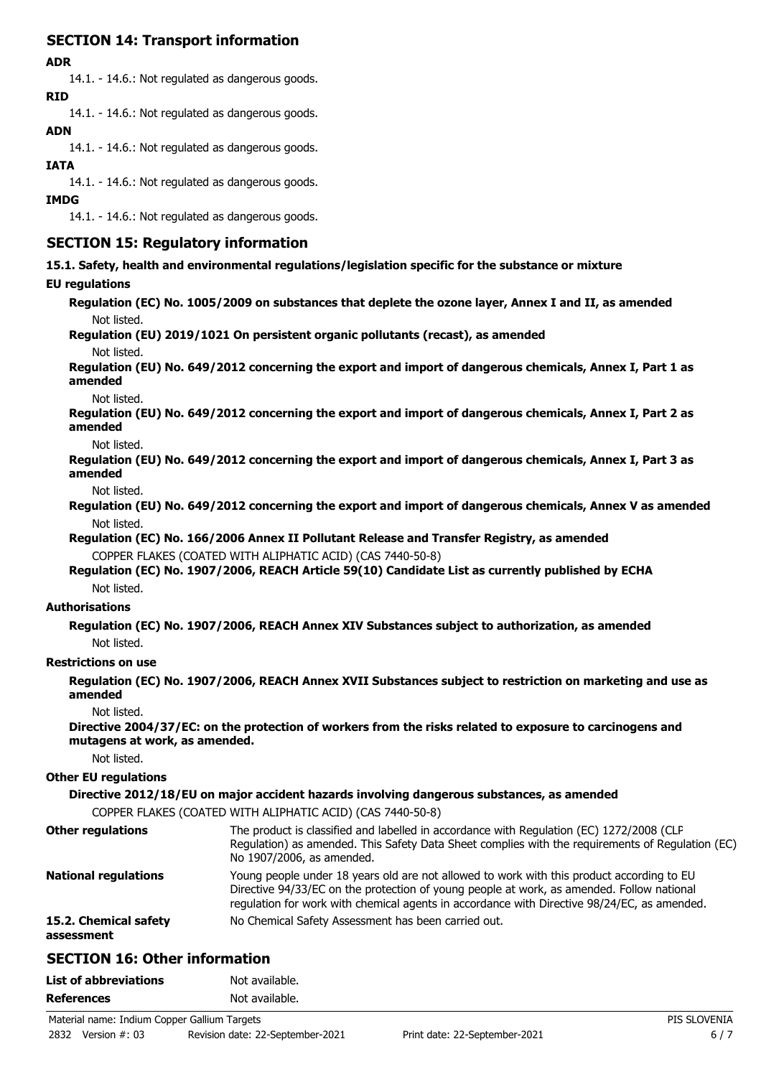# **SECTION 14: Transport information**

### **ADR**

14.1. - 14.6.: Not regulated as dangerous goods. **RID**

14.1. - 14.6.: Not regulated as dangerous goods.

## **ADN**

14.1. - 14.6.: Not regulated as dangerous goods.

### **IATA**

14.1. - 14.6.: Not regulated as dangerous goods.

#### **IMDG**

14.1. - 14.6.: Not regulated as dangerous goods.

## **SECTION 15: Regulatory information**

**15.1. Safety, health and environmental regulations/legislation specific for the substance or mixture**

### **EU regulations**

**Regulation (EC) No. 1005/2009 on substances that deplete the ozone layer, Annex I and II, as amended** Not listed.

**Regulation (EU) 2019/1021 On persistent organic pollutants (recast), as amended**

#### Not listed.

**Regulation (EU) No. 649/2012 concerning the export and import of dangerous chemicals, Annex I, Part 1 as amended**

Not listed.

**Regulation (EU) No. 649/2012 concerning the export and import of dangerous chemicals, Annex I, Part 2 as amended**

Not listed.

**Regulation (EU) No. 649/2012 concerning the export and import of dangerous chemicals, Annex I, Part 3 as amended**

#### Not listed.

**Regulation (EU) No. 649/2012 concerning the export and import of dangerous chemicals, Annex V as amended** Not listed.

**Regulation (EC) No. 166/2006 Annex II Pollutant Release and Transfer Registry, as amended** COPPER FLAKES (COATED WITH ALIPHATIC ACID) (CAS 7440-50-8)

### **Regulation (EC) No. 1907/2006, REACH Article 59(10) Candidate List as currently published by ECHA** Not listed.

### **Authorisations**

**Regulation (EC) No. 1907/2006, REACH Annex XIV Substances subject to authorization, as amended** Not listed.

### **Restrictions on use**

**Regulation (EC) No. 1907/2006, REACH Annex XVII Substances subject to restriction on marketing and use as amended**

Not listed.

**Directive 2004/37/EC: on the protection of workers from the risks related to exposure to carcinogens and mutagens at work, as amended.**

Not listed.

### **Other EU regulations**

**Directive 2012/18/EU on major accident hazards involving dangerous substances, as amended**

COPPER FLAKES (COATED WITH ALIPHATIC ACID) (CAS 7440-50-8)

| <b>Other regulations</b>            | The product is classified and labelled in accordance with Regulation (EC) 1272/2008 (CLP<br>Regulation) as amended. This Safety Data Sheet complies with the requirements of Regulation (EC)<br>No 1907/2006, as amended.                                                             |
|-------------------------------------|---------------------------------------------------------------------------------------------------------------------------------------------------------------------------------------------------------------------------------------------------------------------------------------|
| <b>National regulations</b>         | Young people under 18 years old are not allowed to work with this product according to EU<br>Directive 94/33/EC on the protection of young people at work, as amended. Follow national<br>regulation for work with chemical agents in accordance with Directive 98/24/EC, as amended. |
| 15.2. Chemical safety<br>assessment | No Chemical Safety Assessment has been carried out.                                                                                                                                                                                                                                   |
| ------------                        |                                                                                                                                                                                                                                                                                       |

# **SECTION 16: Other information**

| <b>List of abbreviations</b> | Not available. |
|------------------------------|----------------|
| <b>References</b>            | Not available. |